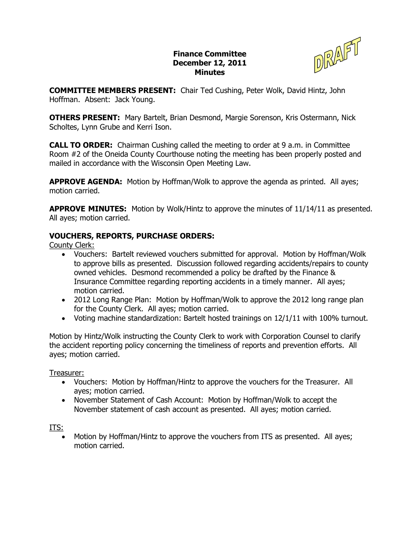## **Finance Committee December 12, 2011 Minutes**



**COMMITTEE MEMBERS PRESENT:**  Chair Ted Cushing, Peter Wolk, David Hintz, John Hoffman. Absent: Jack Young.

**OTHERS PRESENT:**  Mary Bartelt, Brian Desmond, Margie Sorenson, Kris Ostermann, Nick Scholtes, Lynn Grube and Kerri Ison.

**CALL TO ORDER:** Chairman Cushing called the meeting to order at 9 a.m. in Committee Room #2 of the Oneida County Courthouse noting the meeting has been properly posted and mailed in accordance with the Wisconsin Open Meeting Law.

**APPROVE AGENDA:** Motion by Hoffman/Wolk to approve the agenda as printed. All ayes; motion carried.

**APPROVE MINUTES:**  Motion by Wolk/Hintz to approve the minutes of 11/14/11 as presented. All ayes; motion carried.

## **VOUCHERS, REPORTS, PURCHASE ORDERS:**

County Clerk:

- · Vouchers: Bartelt reviewed vouchers submitted for approval. Motion by Hoffman/Wolk to approve bills as presented. Discussion followed regarding accidents/repairs to county owned vehicles. Desmond recommended a policy be drafted by the Finance & Insurance Committee regarding reporting accidents in a timely manner. All ayes; motion carried.
- · 2012 Long Range Plan: Motion by Hoffman/Wolk to approve the 2012 long range plan for the County Clerk. All ayes; motion carried.
- · Voting machine standardization: Bartelt hosted trainings on 12/1/11 with 100% turnout.

Motion by Hintz/Wolk instructing the County Clerk to work with Corporation Counsel to clarify the accident reporting policy concerning the timeliness of reports and prevention efforts. All ayes; motion carried.

Treasurer:

- · Vouchers: Motion by Hoffman/Hintz to approve the vouchers for the Treasurer. All ayes; motion carried.
- · November Statement of Cash Account: Motion by Hoffman/Wolk to accept the November statement of cash account as presented. All ayes; motion carried.

ITS:

· Motion by Hoffman/Hintz to approve the vouchers from ITS as presented. All ayes; motion carried.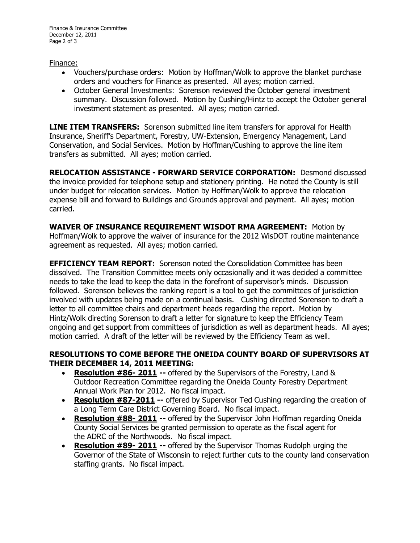## Finance:

- · Vouchers/purchase orders: Motion by Hoffman/Wolk to approve the blanket purchase orders and vouchers for Finance as presented. All ayes; motion carried.
- · October General Investments: Sorenson reviewed the October general investment summary. Discussion followed. Motion by Cushing/Hintz to accept the October general investment statement as presented. All ayes; motion carried.

**LINE ITEM TRANSFERS:** Sorenson submitted line item transfers for approval for Health Insurance, Sheriff's Department, Forestry, UW-Extension, Emergency Management, Land Conservation, and Social Services. Motion by Hoffman/Cushing to approve the line item transfers as submitted. All ayes; motion carried.

**RELOCATION ASSISTANCE FORWARD SERVICE CORPORATION:** Desmond discussed the invoice provided for telephone setup and stationery printing. He noted the County is still under budget for relocation services. Motion by Hoffman/Wolk to approve the relocation expense bill and forward to Buildings and Grounds approval and payment. All ayes; motion carried.

**WAIVER OF INSURANCE REQUIREMENT WISDOT RMA AGREEMENT:**  Motion by Hoffman/Wolk to approve the waiver of insurance for the 2012 WisDOT routine maintenance agreement as requested. All ayes; motion carried.

**EFFICIENCY TEAM REPORT:** Sorenson noted the Consolidation Committee has been dissolved. The Transition Committee meets only occasionally and it was decided a committee needs to take the lead to keep the data in the forefront of supervisor's minds. Discussion followed. Sorenson believes the ranking report is a tool to get the committees of jurisdiction involved with updates being made on a continual basis. Cushing directed Sorenson to draft a letter to all committee chairs and department heads regarding the report. Motion by Hintz/Wolk directing Sorenson to draft a letter for signature to keep the Efficiency Team ongoing and get support from committees of jurisdiction as well as department heads. All ayes; motion carried. A draft of the letter will be reviewed by the Efficiency Team as well.

## **RESOLUTIONS TO COME BEFORE THE ONEIDA COUNTY BOARD OF SUPERVISORS AT THEIR DECEMBER 14, 2011 MEETING:**

- · **Resolution #86 2011** offered by the Supervisors of the Forestry, Land & Outdoor Recreation Committee regarding the Oneida County Forestry Department Annual Work Plan for 2012. No fiscal impact.
- Resolution #87-2011 -- offered by Supervisor Ted Cushing regarding the creation of a Long Term Care District Governing Board. No fiscal impact.
- **Resolution #88- 2011** -- offered by the Supervisor John Hoffman regarding Oneida County Social Services be granted permission to operate as the fiscal agent for the ADRC of the Northwoods. No fiscal impact.
- **Resolution #89- 2011 --** offered by the Supervisor Thomas Rudolph urging the Governor of the State of Wisconsin to reject further cuts to the county land conservation staffing grants. No fiscal impact.